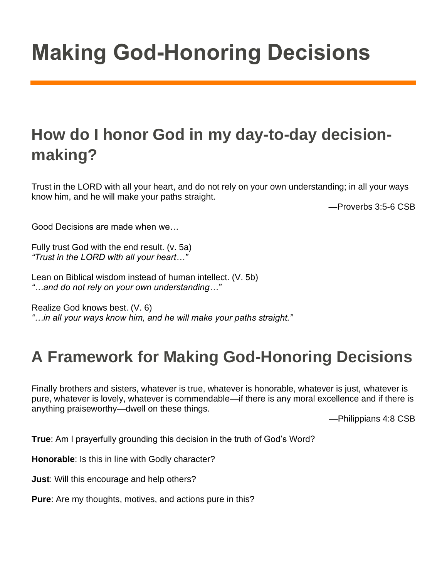## **How do I honor God in my day-to-day decisionmaking?**

Trust in the LORD with all your heart, and do not rely on your own understanding; in all your ways know him, and he will make your paths straight.

—Proverbs 3:5-6 CSB

Good Decisions are made when we…

Fully trust God with the end result. (v. 5a) *"Trust in the LORD with all your heart…"*

Lean on Biblical wisdom instead of human intellect. (V. 5b) *"…and do not rely on your own understanding…"*

Realize God knows best. (V. 6)

*"…in all your ways know him, and he will make your paths straight."*

## **A Framework for Making God-Honoring Decisions**

Finally brothers and sisters, whatever is true, whatever is honorable, whatever is just, whatever is pure, whatever is lovely, whatever is commendable—if there is any moral excellence and if there is anything praiseworthy—dwell on these things.

—Philippians 4:8 CSB

**True**: Am I prayerfully grounding this decision in the truth of God's Word?

**Honorable**: Is this in line with Godly character?

**Just**: Will this encourage and help others?

**Pure**: Are my thoughts, motives, and actions pure in this?